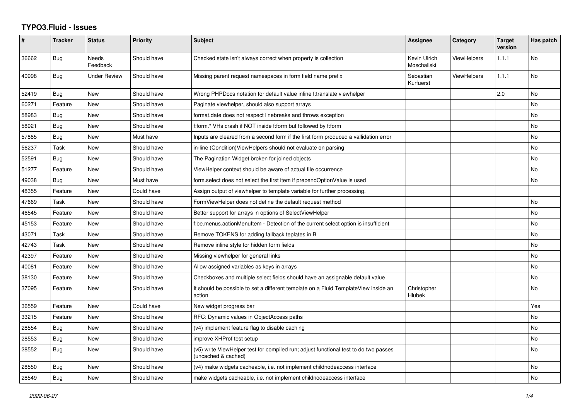## **TYPO3.Fluid - Issues**

| #     | <b>Tracker</b> | <b>Status</b>            | <b>Priority</b> | Subject                                                                                                     | Assignee                    | Category           | <b>Target</b><br>version | Has patch |
|-------|----------------|--------------------------|-----------------|-------------------------------------------------------------------------------------------------------------|-----------------------------|--------------------|--------------------------|-----------|
| 36662 | Bug            | <b>Needs</b><br>Feedback | Should have     | Checked state isn't always correct when property is collection                                              | Kevin Ulrich<br>Moschallski | <b>ViewHelpers</b> | 1.1.1                    | No        |
| 40998 | <b>Bug</b>     | <b>Under Review</b>      | Should have     | Missing parent request namespaces in form field name prefix                                                 | Sebastian<br>Kurfuerst      | <b>ViewHelpers</b> | 1.1.1                    | <b>No</b> |
| 52419 | Bug            | <b>New</b>               | Should have     | Wrong PHPDocs notation for default value inline f:translate viewhelper                                      |                             |                    | 2.0                      | <b>No</b> |
| 60271 | Feature        | <b>New</b>               | Should have     | Paginate viewhelper, should also support arrays                                                             |                             |                    |                          | No        |
| 58983 | Bug            | New                      | Should have     | format.date does not respect linebreaks and throws exception                                                |                             |                    |                          | No        |
| 58921 | <b>Bug</b>     | <b>New</b>               | Should have     | f:form.* VHs crash if NOT inside f:form but followed by f:form                                              |                             |                    |                          | <b>No</b> |
| 57885 | Bug            | New                      | Must have       | Inputs are cleared from a second form if the first form produced a vallidation error                        |                             |                    |                          | No        |
| 56237 | Task           | New                      | Should have     | in-line (Condition) View Helpers should not evaluate on parsing                                             |                             |                    |                          | No        |
| 52591 | Bug            | <b>New</b>               | Should have     | The Pagination Widget broken for joined objects                                                             |                             |                    |                          | No        |
| 51277 | Feature        | New                      | Should have     | ViewHelper context should be aware of actual file occurrence                                                |                             |                    |                          | No        |
| 49038 | Bug            | New                      | Must have       | form select does not select the first item if prependOptionValue is used                                    |                             |                    |                          | No        |
| 48355 | Feature        | New                      | Could have      | Assign output of viewhelper to template variable for further processing.                                    |                             |                    |                          |           |
| 47669 | Task           | New                      | Should have     | FormViewHelper does not define the default request method                                                   |                             |                    |                          | No        |
| 46545 | Feature        | New                      | Should have     | Better support for arrays in options of SelectViewHelper                                                    |                             |                    |                          | No        |
| 45153 | Feature        | <b>New</b>               | Should have     | f:be.menus.actionMenuItem - Detection of the current select option is insufficient                          |                             |                    |                          | No        |
| 43071 | Task           | New                      | Should have     | Remove TOKENS for adding fallback teplates in B                                                             |                             |                    |                          | No        |
| 42743 | Task           | New                      | Should have     | Remove inline style for hidden form fields                                                                  |                             |                    |                          | No        |
| 42397 | Feature        | New                      | Should have     | Missing viewhelper for general links                                                                        |                             |                    |                          | No        |
| 40081 | Feature        | <b>New</b>               | Should have     | Allow assigned variables as keys in arrays                                                                  |                             |                    |                          | No        |
| 38130 | Feature        | New                      | Should have     | Checkboxes and multiple select fields should have an assignable default value                               |                             |                    |                          | No        |
| 37095 | Feature        | <b>New</b>               | Should have     | It should be possible to set a different template on a Fluid TemplateView inside an<br>action               | Christopher<br>Hlubek       |                    |                          | No        |
| 36559 | Feature        | <b>New</b>               | Could have      | New widget progress bar                                                                                     |                             |                    |                          | Yes       |
| 33215 | Feature        | New                      | Should have     | RFC: Dynamic values in ObjectAccess paths                                                                   |                             |                    |                          | No        |
| 28554 | Bug            | New                      | Should have     | (v4) implement feature flag to disable caching                                                              |                             |                    |                          | No        |
| 28553 | <b>Bug</b>     | New                      | Should have     | improve XHProf test setup                                                                                   |                             |                    |                          | No        |
| 28552 | Bug            | New                      | Should have     | (v5) write ViewHelper test for compiled run; adjust functional test to do two passes<br>(uncached & cached) |                             |                    |                          | No        |
| 28550 | Bug            | New                      | Should have     | (v4) make widgets cacheable, i.e. not implement childnodeaccess interface                                   |                             |                    |                          | No.       |
| 28549 | Bug            | New                      | Should have     | make widgets cacheable, i.e. not implement childnodeaccess interface                                        |                             |                    |                          | No        |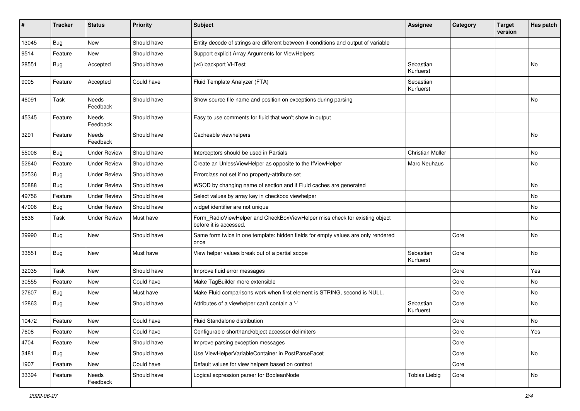| ∦     | <b>Tracker</b> | <b>Status</b>            | <b>Priority</b> | <b>Subject</b>                                                                                       | <b>Assignee</b>        | Category | <b>Target</b><br>version | Has patch |
|-------|----------------|--------------------------|-----------------|------------------------------------------------------------------------------------------------------|------------------------|----------|--------------------------|-----------|
| 13045 | Bug            | New                      | Should have     | Entity decode of strings are different between if-conditions and output of variable                  |                        |          |                          |           |
| 9514  | Feature        | New                      | Should have     | Support explicit Array Arguments for ViewHelpers                                                     |                        |          |                          |           |
| 28551 | Bug            | Accepted                 | Should have     | (v4) backport VHTest                                                                                 | Sebastian<br>Kurfuerst |          |                          | No        |
| 9005  | Feature        | Accepted                 | Could have      | Fluid Template Analyzer (FTA)                                                                        | Sebastian<br>Kurfuerst |          |                          |           |
| 46091 | Task           | <b>Needs</b><br>Feedback | Should have     | Show source file name and position on exceptions during parsing                                      |                        |          |                          | <b>No</b> |
| 45345 | Feature        | <b>Needs</b><br>Feedback | Should have     | Easy to use comments for fluid that won't show in output                                             |                        |          |                          |           |
| 3291  | Feature        | Needs<br>Feedback        | Should have     | Cacheable viewhelpers                                                                                |                        |          |                          | No        |
| 55008 | Bug            | <b>Under Review</b>      | Should have     | Interceptors should be used in Partials                                                              | Christian Müller       |          |                          | No.       |
| 52640 | Feature        | <b>Under Review</b>      | Should have     | Create an UnlessViewHelper as opposite to the IfViewHelper                                           | <b>Marc Neuhaus</b>    |          |                          | No        |
| 52536 | Bug            | <b>Under Review</b>      | Should have     | Errorclass not set if no property-attribute set                                                      |                        |          |                          |           |
| 50888 | <b>Bug</b>     | <b>Under Review</b>      | Should have     | WSOD by changing name of section and if Fluid caches are generated                                   |                        |          |                          | No        |
| 49756 | Feature        | <b>Under Review</b>      | Should have     | Select values by array key in checkbox viewhelper                                                    |                        |          |                          | No        |
| 47006 | Bug            | <b>Under Review</b>      | Should have     | widget identifier are not unique                                                                     |                        |          |                          | No        |
| 5636  | Task           | <b>Under Review</b>      | Must have       | Form_RadioViewHelper and CheckBoxViewHelper miss check for existing object<br>before it is accessed. |                        |          |                          | No        |
| 39990 | Bug            | New                      | Should have     | Same form twice in one template: hidden fields for empty values are only rendered<br>once            |                        | Core     |                          | No        |
| 33551 | Bug            | New                      | Must have       | View helper values break out of a partial scope                                                      | Sebastian<br>Kurfuerst | Core     |                          | No        |
| 32035 | Task           | New                      | Should have     | Improve fluid error messages                                                                         |                        | Core     |                          | Yes       |
| 30555 | Feature        | New                      | Could have      | Make TagBuilder more extensible                                                                      |                        | Core     |                          | No.       |
| 27607 | Bug            | New                      | Must have       | Make Fluid comparisons work when first element is STRING, second is NULL.                            |                        | Core     |                          | No        |
| 12863 | Bug            | New                      | Should have     | Attributes of a viewhelper can't contain a '-'                                                       | Sebastian<br>Kurfuerst | Core     |                          | No        |
| 10472 | Feature        | New                      | Could have      | Fluid Standalone distribution                                                                        |                        | Core     |                          | No        |
| 7608  | Feature        | New                      | Could have      | Configurable shorthand/object accessor delimiters                                                    |                        | Core     |                          | Yes       |
| 4704  | Feature        | New                      | Should have     | Improve parsing exception messages                                                                   |                        | Core     |                          |           |
| 3481  | Bug            | New                      | Should have     | Use ViewHelperVariableContainer in PostParseFacet                                                    |                        | Core     |                          | No        |
| 1907  | Feature        | New                      | Could have      | Default values for view helpers based on context                                                     |                        | Core     |                          |           |
| 33394 | Feature        | Needs<br>Feedback        | Should have     | Logical expression parser for BooleanNode                                                            | <b>Tobias Liebig</b>   | Core     |                          | No        |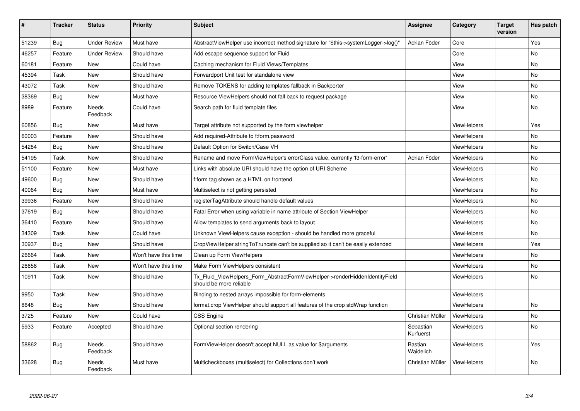| #     | <b>Tracker</b> | <b>Status</b>       | <b>Priority</b>      | <b>Subject</b>                                                                                         | Assignee                    | Category           | <b>Target</b><br>version | Has patch |
|-------|----------------|---------------------|----------------------|--------------------------------------------------------------------------------------------------------|-----------------------------|--------------------|--------------------------|-----------|
| 51239 | Bug            | Under Review        | Must have            | AbstractViewHelper use incorrect method signature for "\$this->systemLogger->log()"                    | Adrian Föder                | Core               |                          | Yes       |
| 46257 | Feature        | <b>Under Review</b> | Should have          | Add escape sequence support for Fluid                                                                  |                             | Core               |                          | No        |
| 60181 | Feature        | New                 | Could have           | Caching mechanism for Fluid Views/Templates                                                            |                             | View               |                          | No        |
| 45394 | Task           | <b>New</b>          | Should have          | Forwardport Unit test for standalone view                                                              |                             | View               |                          | No        |
| 43072 | Task           | New                 | Should have          | Remove TOKENS for adding templates fallback in Backporter                                              |                             | View               |                          | <b>No</b> |
| 38369 | <b>Bug</b>     | New                 | Must have            | Resource ViewHelpers should not fall back to request package                                           |                             | View               |                          | <b>No</b> |
| 8989  | Feature        | Needs<br>Feedback   | Could have           | Search path for fluid template files                                                                   |                             | View               |                          | <b>No</b> |
| 60856 | Bug            | New                 | Must have            | Target attribute not supported by the form viewhelper                                                  |                             | ViewHelpers        |                          | Yes       |
| 60003 | Feature        | New                 | Should have          | Add required-Attribute to f:form.password                                                              |                             | ViewHelpers        |                          | <b>No</b> |
| 54284 | Bug            | New                 | Should have          | Default Option for Switch/Case VH                                                                      |                             | <b>ViewHelpers</b> |                          | <b>No</b> |
| 54195 | Task           | New                 | Should have          | Rename and move FormViewHelper's errorClass value, currently 'f3-form-error'                           | Adrian Föder                | ViewHelpers        |                          | No.       |
| 51100 | Feature        | New                 | Must have            | Links with absolute URI should have the option of URI Scheme                                           |                             | ViewHelpers        |                          | No        |
| 49600 | Bug            | New                 | Should have          | f:form tag shown as a HTML on frontend                                                                 |                             | ViewHelpers        |                          | No        |
| 40064 | Bug            | New                 | Must have            | Multiselect is not getting persisted                                                                   |                             | ViewHelpers        |                          | <b>No</b> |
| 39936 | Feature        | New                 | Should have          | registerTagAttribute should handle default values                                                      |                             | <b>ViewHelpers</b> |                          | No        |
| 37619 | <b>Bug</b>     | New                 | Should have          | Fatal Error when using variable in name attribute of Section ViewHelper                                |                             | ViewHelpers        |                          | <b>No</b> |
| 36410 | Feature        | New                 | Should have          | Allow templates to send arguments back to layout                                                       |                             | ViewHelpers        |                          | <b>No</b> |
| 34309 | Task           | New                 | Could have           | Unknown ViewHelpers cause exception - should be handled more graceful                                  |                             | <b>ViewHelpers</b> |                          | No        |
| 30937 | <b>Bug</b>     | New                 | Should have          | CropViewHelper stringToTruncate can't be supplied so it can't be easily extended                       |                             | ViewHelpers        |                          | Yes       |
| 26664 | Task           | New                 | Won't have this time | Clean up Form ViewHelpers                                                                              |                             | <b>ViewHelpers</b> |                          | No        |
| 26658 | Task           | New                 | Won't have this time | Make Form ViewHelpers consistent                                                                       |                             | <b>ViewHelpers</b> |                          | No        |
| 10911 | Task           | New                 | Should have          | Tx Fluid ViewHelpers Form AbstractFormViewHelper->renderHiddenIdentityField<br>should be more reliable |                             | <b>ViewHelpers</b> |                          | No        |
| 9950  | Task           | New                 | Should have          | Binding to nested arrays impossible for form-elements                                                  |                             | ViewHelpers        |                          |           |
| 8648  | Bug            | New                 | Should have          | format.crop ViewHelper should support all features of the crop stdWrap function                        |                             | <b>ViewHelpers</b> |                          | <b>No</b> |
| 3725  | Feature        | New                 | Could have           | CSS Engine                                                                                             | Christian Müller            | ViewHelpers        |                          | <b>No</b> |
| 5933  | Feature        | Accepted            | Should have          | Optional section rendering                                                                             | Sebastian<br>Kurfuerst      | ViewHelpers        |                          | No        |
| 58862 | Bug            | Needs<br>Feedback   | Should have          | FormViewHelper doesn't accept NULL as value for \$arguments                                            | <b>Bastian</b><br>Waidelich | <b>ViewHelpers</b> |                          | Yes       |
| 33628 | Bug            | Needs<br>Feedback   | Must have            | Multicheckboxes (multiselect) for Collections don't work                                               | Christian Müller            | <b>ViewHelpers</b> |                          | No        |